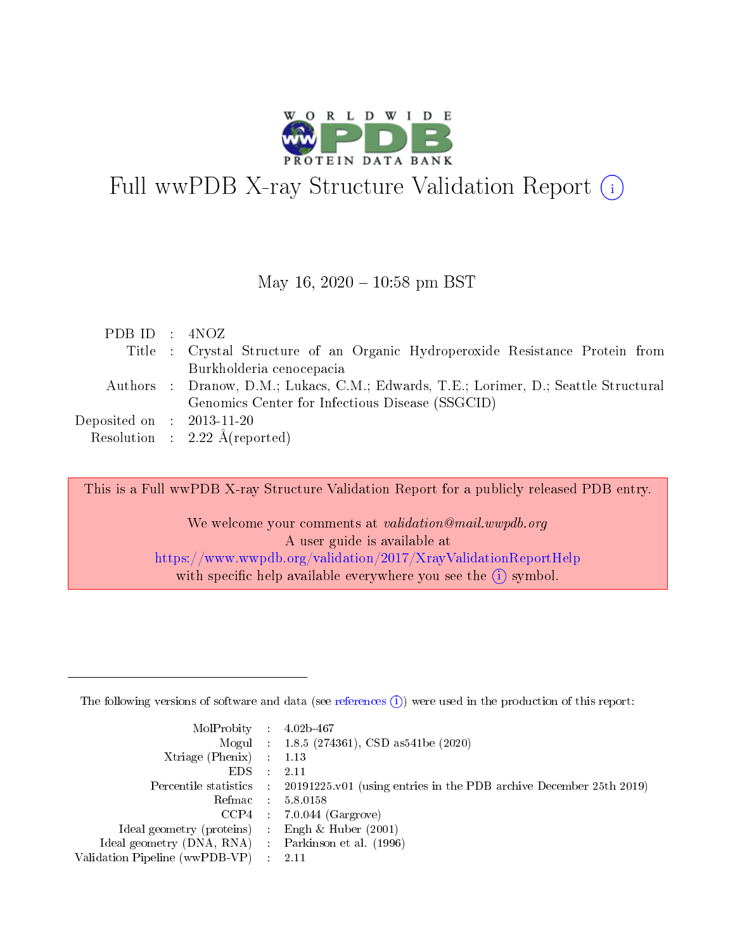

# Full wwPDB X-ray Structure Validation Report  $(i)$

#### May 16,  $2020 - 10:58$  pm BST

| PDBID : ANOZ                |                                                                                      |
|-----------------------------|--------------------------------------------------------------------------------------|
|                             | Title : Crystal Structure of an Organic Hydroperoxide Resistance Protein from        |
|                             | Burkholderia cenocepacia                                                             |
|                             | Authors : Dranow, D.M.; Lukacs, C.M.; Edwards, T.E.; Lorimer, D.; Seattle Structural |
|                             | Genomics Center for Infectious Disease (SSGCID)                                      |
| Deposited on : $2013-11-20$ |                                                                                      |
|                             | Resolution : $2.22 \text{ Å}$ (reported)                                             |

This is a Full wwPDB X-ray Structure Validation Report for a publicly released PDB entry.

We welcome your comments at validation@mail.wwpdb.org A user guide is available at <https://www.wwpdb.org/validation/2017/XrayValidationReportHelp> with specific help available everywhere you see the  $(i)$  symbol.

The following versions of software and data (see [references](https://www.wwpdb.org/validation/2017/XrayValidationReportHelp#references)  $(1)$ ) were used in the production of this report:

| $MolProbability$ : 4.02b-467                       |               |                                                                                            |
|----------------------------------------------------|---------------|--------------------------------------------------------------------------------------------|
|                                                    |               | Mogul : $1.8.5$ (274361), CSD as 541be (2020)                                              |
| Xtriage (Phenix) $: 1.13$                          |               |                                                                                            |
| EDS.                                               | $\mathcal{L}$ | -2.11                                                                                      |
|                                                    |               | Percentile statistics : 20191225.v01 (using entries in the PDB archive December 25th 2019) |
|                                                    |               | Refmac : 5.8.0158                                                                          |
|                                                    |               | $CCP4$ 7.0.044 (Gargrove)                                                                  |
| Ideal geometry (proteins) : Engh $\&$ Huber (2001) |               |                                                                                            |
| Ideal geometry (DNA, RNA) Parkinson et al. (1996)  |               |                                                                                            |
| Validation Pipeline (wwPDB-VP) : 2.11              |               |                                                                                            |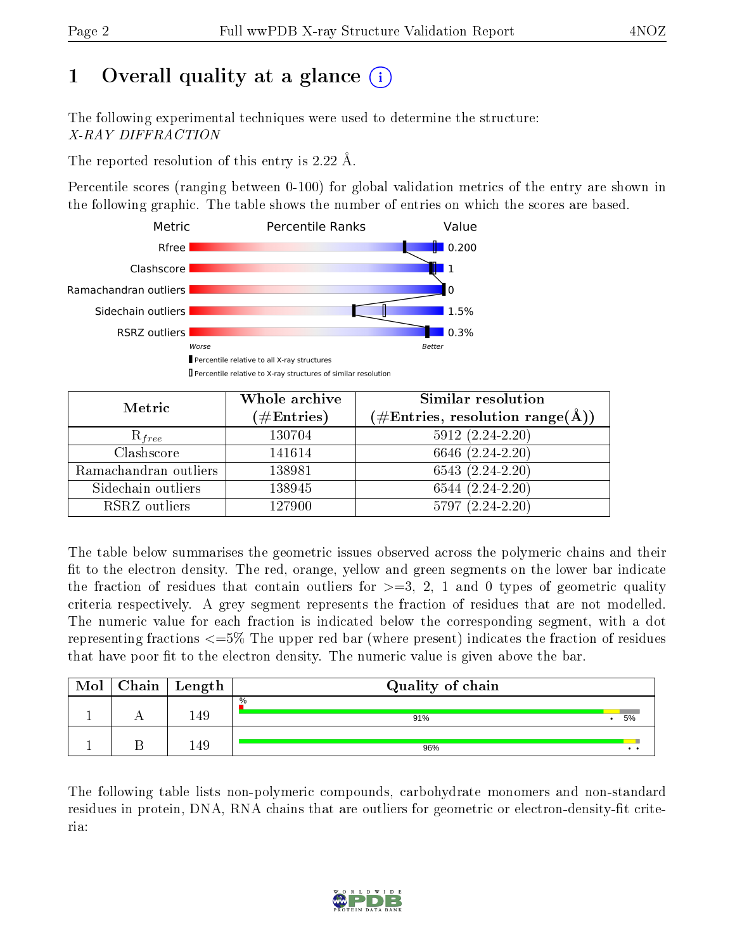# 1 [O](https://www.wwpdb.org/validation/2017/XrayValidationReportHelp#overall_quality)verall quality at a glance  $(i)$

The following experimental techniques were used to determine the structure: X-RAY DIFFRACTION

The reported resolution of this entry is 2.22 Å.

Percentile scores (ranging between 0-100) for global validation metrics of the entry are shown in the following graphic. The table shows the number of entries on which the scores are based.



| Metric                | Whole archive<br>$(\#\mathrm{Entries})$ | Similar resolution<br>$(\#\text{Entries}, \, \text{resolution range}(\textup{\AA}))$ |
|-----------------------|-----------------------------------------|--------------------------------------------------------------------------------------|
| $R_{free}$            | 130704                                  | $5912(2.24-2.20)$                                                                    |
| Clashscore            | 141614                                  | 6646 (2.24-2.20)                                                                     |
| Ramachandran outliers | 138981                                  | $6543(2.24-2.20)$                                                                    |
| Sidechain outliers    | 138945                                  | $6544(2.24-2.20)$                                                                    |
| RSRZ outliers         | 127900                                  | $5797(2.24-2.20)$                                                                    |

The table below summarises the geometric issues observed across the polymeric chains and their fit to the electron density. The red, orange, yellow and green segments on the lower bar indicate the fraction of residues that contain outliers for  $>=3, 2, 1$  and 0 types of geometric quality criteria respectively. A grey segment represents the fraction of residues that are not modelled. The numeric value for each fraction is indicated below the corresponding segment, with a dot representing fractions <=5% The upper red bar (where present) indicates the fraction of residues that have poor fit to the electron density. The numeric value is given above the bar.

| Mol | Chain | Length | Quality of chain |                 |
|-----|-------|--------|------------------|-----------------|
|     |       | 149    | $\%$<br>91%      | 5%              |
|     |       | 149    | 96%              | $\cdot$ $\cdot$ |

The following table lists non-polymeric compounds, carbohydrate monomers and non-standard residues in protein, DNA, RNA chains that are outliers for geometric or electron-density-fit criteria:

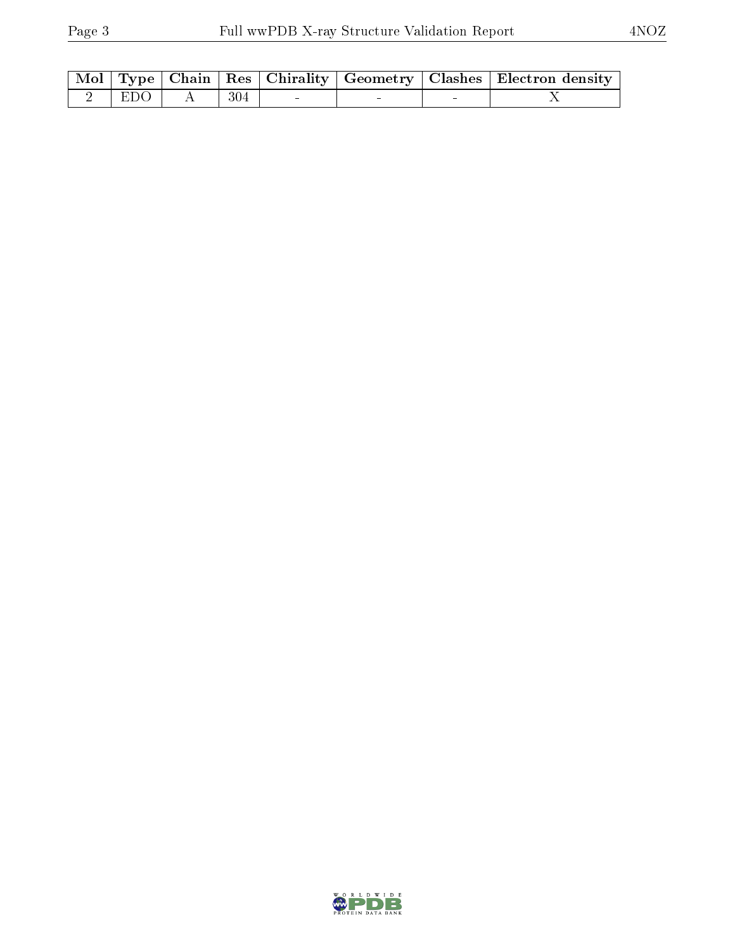|                   |       |  | Mol   Type   Chain   Res   Chirality   Geometry   Clashes   Electron density |
|-------------------|-------|--|------------------------------------------------------------------------------|
| $2 \mid EDO \mid$ | - 304 |  |                                                                              |

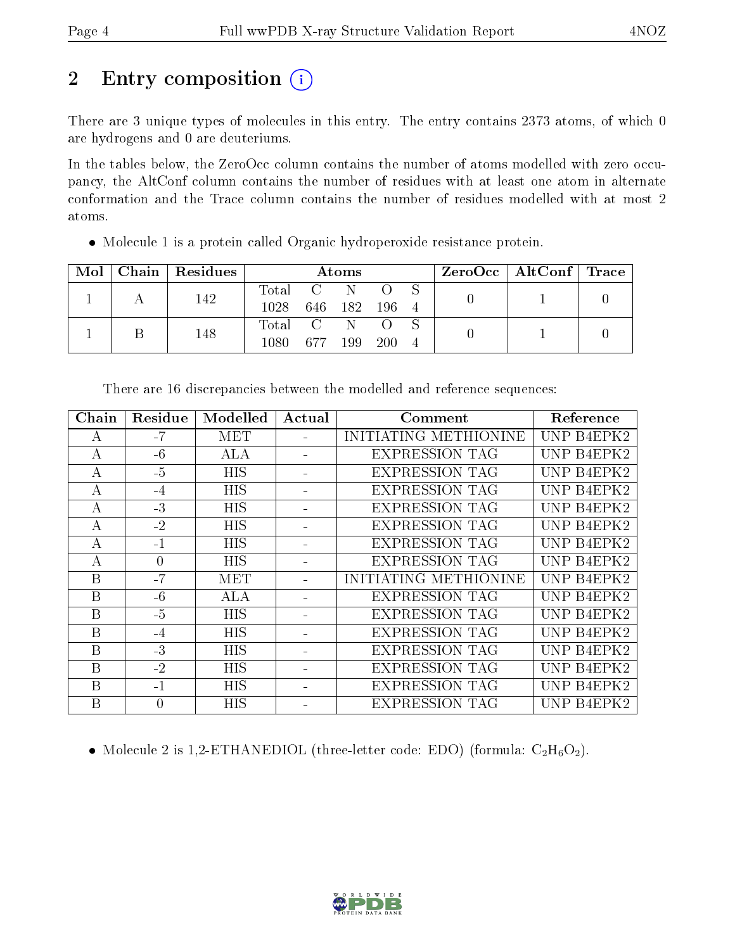# 2 Entry composition (i)

There are 3 unique types of molecules in this entry. The entry contains 2373 atoms, of which 0 are hydrogens and 0 are deuteriums.

In the tables below, the ZeroOcc column contains the number of atoms modelled with zero occupancy, the AltConf column contains the number of residues with at least one atom in alternate conformation and the Trace column contains the number of residues modelled with at most 2 atoms.

| Mol | Chain | $\mid$ Residues $\mid$ | Atoms              |         |  |       | ZeroOcc   AltConf   Trace |  |  |
|-----|-------|------------------------|--------------------|---------|--|-------|---------------------------|--|--|
|     |       | 142                    | Total C N          |         |  |       |                           |  |  |
|     |       |                        | 1028 646 182 196 4 |         |  |       |                           |  |  |
|     |       | 148                    | Total C N          |         |  |       |                           |  |  |
|     |       |                        | 1080.              | 677 199 |  | - 200 | $\overline{4}$            |  |  |

• Molecule 1 is a protein called Organic hydroperoxide resistance protein.

| Chain | Residue | Modelled   | Actual | Comment               | Reference  |
|-------|---------|------------|--------|-----------------------|------------|
| А     | $-7$    | <b>MET</b> |        | INITIATING METHIONINE | UNP B4EPK2 |
| А     | $-6$    | <b>ALA</b> |        | <b>EXPRESSION TAG</b> | UNP B4EPK2 |
| А     | $-5$    | <b>HIS</b> |        | EXPRESSION TAG        | UNP B4EPK2 |
| А     | $-4$    | HIS        |        | <b>EXPRESSION TAG</b> | UNP B4EPK2 |
| А     | $-3$    | <b>HIS</b> |        | <b>EXPRESSION TAG</b> | UNP B4EPK2 |
| А     | $-2$    | <b>HIS</b> |        | <b>EXPRESSION TAG</b> | UNP B4EPK2 |
| А     | $-1$    | <b>HIS</b> |        | <b>EXPRESSION TAG</b> | UNP B4EPK2 |
| А     | 0       | <b>HIS</b> |        | <b>EXPRESSION TAG</b> | UNP B4EPK2 |
| B     | $-7$    | MET        |        | INITIATING METHIONINE | UNP B4EPK2 |
| B     | $-6$    | ALA        |        | <b>EXPRESSION TAG</b> | UNP B4EPK2 |
| B     | $-5$    | <b>HIS</b> |        | <b>EXPRESSION TAG</b> | UNP B4EPK2 |
| B     | $-4$    | <b>HIS</b> |        | <b>EXPRESSION TAG</b> | UNP B4EPK2 |
| B     | $-3$    | <b>HIS</b> |        | <b>EXPRESSION TAG</b> | UNP B4EPK2 |
| B     | $-2$    | <b>HIS</b> |        | <b>EXPRESSION TAG</b> | UNP B4EPK2 |
| B     | $-1$    | <b>HIS</b> |        | <b>EXPRESSION TAG</b> | UNP B4EPK2 |
| B     | 0       | <b>HIS</b> |        | <b>EXPRESSION TAG</b> | UNP B4EPK2 |

There are 16 discrepancies between the modelled and reference sequences:

• Molecule 2 is 1,2-ETHANEDIOL (three-letter code: EDO) (formula:  $C_2H_6O_2$ ).

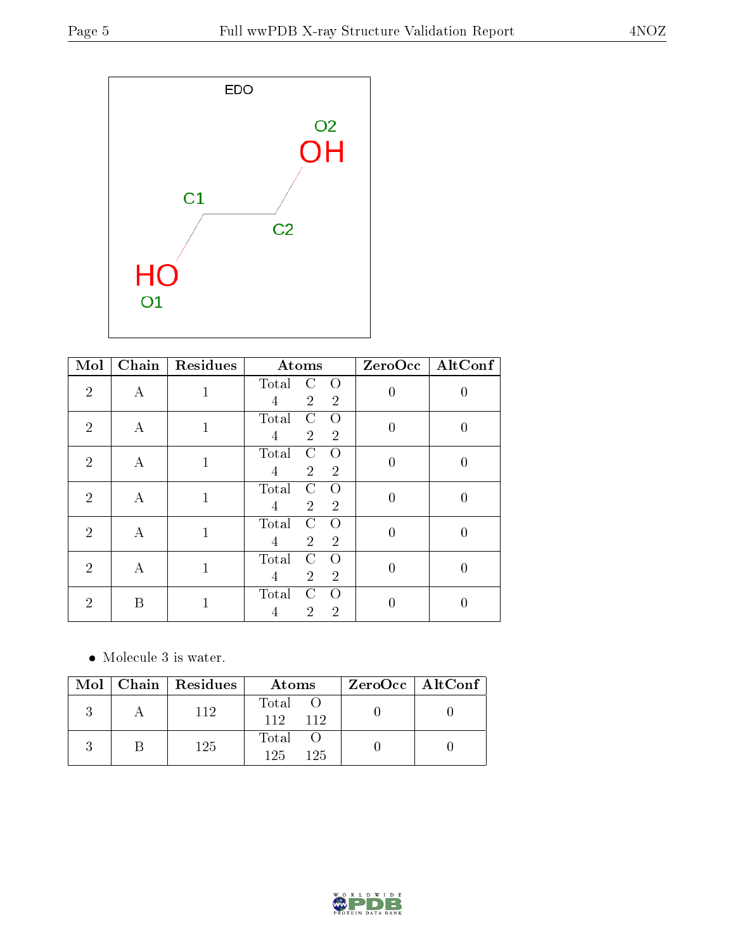

| Mol            | Chain | Residues     | Atoms                                                                 |                  | ZeroOcc AltConf  |
|----------------|-------|--------------|-----------------------------------------------------------------------|------------------|------------------|
| $\overline{2}$ | A     | 1            | Total<br>$\Omega$<br>C<br>$\overline{2}$<br>$\overline{2}$<br>4       | $\overline{0}$   | 0                |
| $\overline{2}$ | А     | $\mathbf{1}$ | Total<br>C<br>$\Omega$<br>$\overline{2}$<br>$\overline{2}$<br>4       | $\boldsymbol{0}$ | $\overline{0}$   |
| $\overline{2}$ | A     | $\mathbf{1}$ | Total<br>C<br>O<br>$\overline{2}$<br>$\overline{4}$<br>$\overline{2}$ | $\boldsymbol{0}$ | $\overline{0}$   |
| $\overline{2}$ | A     | $\mathbf{1}$ | Total<br>C<br>∩<br>$\overline{2}$<br>$\overline{2}$<br>4              | $\boldsymbol{0}$ | $\boldsymbol{0}$ |
| $\overline{2}$ | A     | $\mathbf{1}$ | Total<br>C<br>$\Omega$<br>$\overline{2}$<br>$\overline{2}$<br>4       | $\overline{0}$   | 0                |
| $\overline{2}$ | A     | $\mathbf{1}$ | Total<br>C<br>$\Omega$<br>$\overline{2}$<br>$\overline{2}$<br>4       | $\overline{0}$   | 0                |
| $\overline{2}$ | Β     | 1            | Total<br>C<br>$\Omega$<br>$\overline{2}$<br>$\overline{2}$<br>4       | 0                | 0                |

• Molecule 3 is water.

|  | $Mol$   Chain   Residues | Atoms                        | $ZeroOcc \   \$ AltConf |
|--|--------------------------|------------------------------|-------------------------|
|  | 112                      | Total O<br>$112 -$<br>$-112$ |                         |
|  | 125                      | Total<br>125<br>125          |                         |

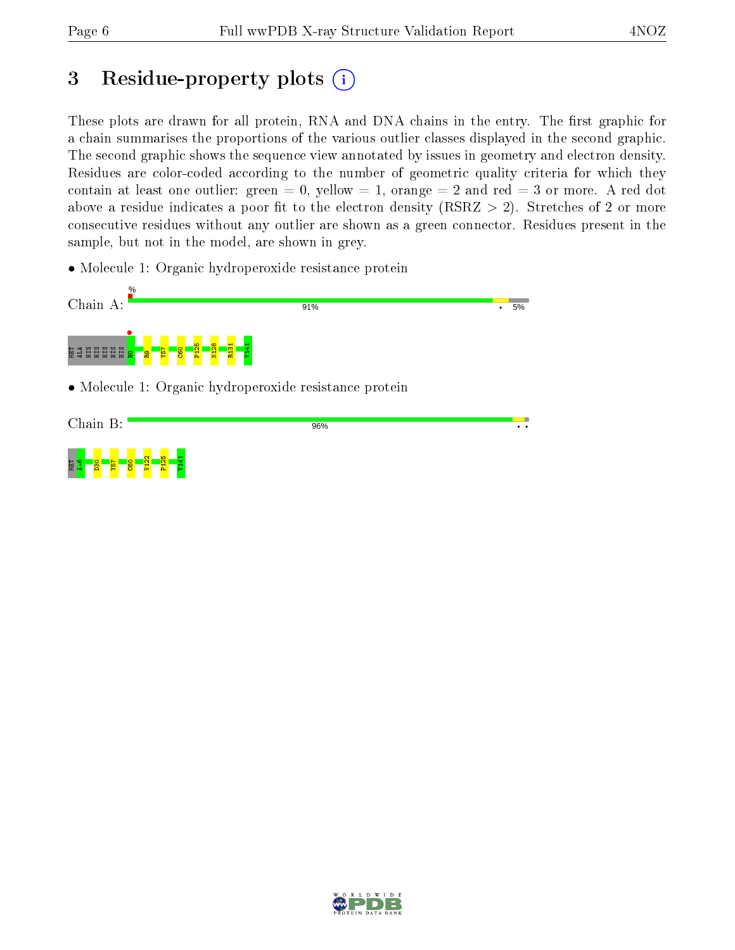# 3 Residue-property plots  $(i)$

These plots are drawn for all protein, RNA and DNA chains in the entry. The first graphic for a chain summarises the proportions of the various outlier classes displayed in the second graphic. The second graphic shows the sequence view annotated by issues in geometry and electron density. Residues are color-coded according to the number of geometric quality criteria for which they contain at least one outlier: green  $= 0$ , yellow  $= 1$ , orange  $= 2$  and red  $= 3$  or more. A red dot above a residue indicates a poor fit to the electron density (RSRZ  $> 2$ ). Stretches of 2 or more consecutive residues without any outlier are shown as a green connector. Residues present in the sample, but not in the model, are shown in grey.

• Molecule 1: Organic hydroperoxide resistance protein



• Molecule 1: Organic hydroperoxide resistance protein



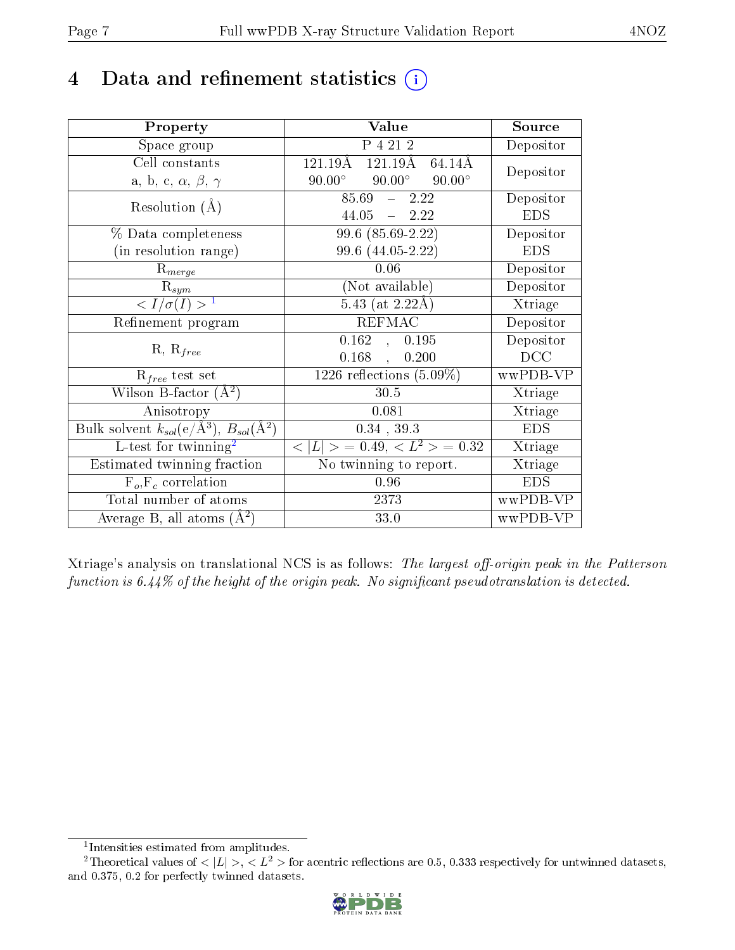## 4 Data and refinement statistics  $(i)$

| Property                                                   | Value                                              | Source     |
|------------------------------------------------------------|----------------------------------------------------|------------|
| Space group                                                | P 4 21 2                                           | Depositor  |
| Cell constants                                             | $121.19\text{\AA}$<br>$121.19\text{\AA}$<br>64.14Å | Depositor  |
| a, b, c, $\alpha$ , $\beta$ , $\gamma$                     | $90.00^\circ$<br>$90.00^{\circ}$<br>$90.00^\circ$  |            |
| Resolution $(A)$                                           | 85.69<br>$-2.22$                                   | Depositor  |
|                                                            | $44.05 = 2.22$                                     | <b>EDS</b> |
| $\%$ Data completeness                                     | $99.6(85.69-2.22)$                                 | Depositor  |
| (in resolution range)                                      | 99.6 (44.05-2.22)                                  | <b>EDS</b> |
| $R_{merge}$                                                | 0.06                                               | Depositor  |
| $\mathrm{R}_{sym}$                                         | (Not available)                                    | Depositor  |
| $\langle I/\sigma(I) \rangle^{-1}$                         | $5.43$ (at 2.22Å)                                  | Xtriage    |
| Refinement program                                         | <b>REFMAC</b>                                      | Depositor  |
|                                                            | 0.162, 0.195                                       | Depositor  |
| $R, R_{free}$                                              | $0.168$ ,<br>0.200                                 | DCC        |
| $R_{free}$ test set                                        | 1226 reflections $(5.09\%)$                        | wwPDB-VP   |
| Wilson B-factor $(A^2)$                                    | 30.5                                               | Xtriage    |
| Anisotropy                                                 | 0.081                                              | Xtriage    |
| Bulk solvent $k_{sol}$ (e/Å <sup>3</sup> ), $B_{sol}(A^2)$ | $0.34$ , 39.3                                      | <b>EDS</b> |
| L-test for $\mathrm{twinning}^2$                           | $< L >$ = 0.49, $< L2$ = 0.32                      | Xtriage    |
| Estimated twinning fraction                                | No twinning to report.                             | Xtriage    |
| $\overline{F_o}, \overline{F_c}$ correlation               | 0.96                                               | <b>EDS</b> |
| Total number of atoms                                      | 2373                                               | wwPDB-VP   |
| Average B, all atoms $(A^2)$                               | 33.0                                               | wwPDB-VP   |

Xtriage's analysis on translational NCS is as follows: The largest off-origin peak in the Patterson function is  $6.44\%$  of the height of the origin peak. No significant pseudotranslation is detected.

<sup>&</sup>lt;sup>2</sup>Theoretical values of  $\langle |L| \rangle$ ,  $\langle L^2 \rangle$  for acentric reflections are 0.5, 0.333 respectively for untwinned datasets, and 0.375, 0.2 for perfectly twinned datasets.



<span id="page-6-1"></span><span id="page-6-0"></span><sup>1</sup> Intensities estimated from amplitudes.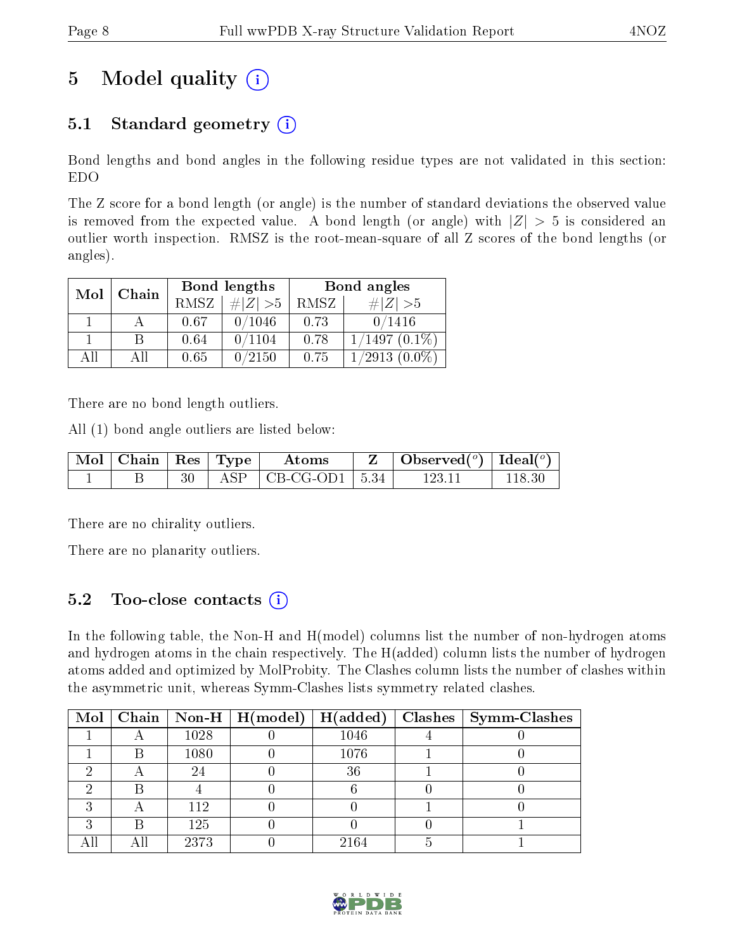## 5 Model quality  $(i)$

### 5.1 Standard geometry  $(i)$

Bond lengths and bond angles in the following residue types are not validated in this section: EDO

The Z score for a bond length (or angle) is the number of standard deviations the observed value is removed from the expected value. A bond length (or angle) with  $|Z| > 5$  is considered an outlier worth inspection. RMSZ is the root-mean-square of all Z scores of the bond lengths (or angles).

| Mol | Chain |      | Bond lengths | Bond angles |                 |  |
|-----|-------|------|--------------|-------------|-----------------|--|
|     |       | RMSZ | $\# Z  > 5$  | RMSZ        | $\# Z  > 5$     |  |
|     |       | 0.67 | 0/1046       | 0.73        | 0/1416          |  |
|     | В     | 0.64 | 0/1104       | 0.78        | $1/1497(0.1\%)$ |  |
| ΑH  | ΑH    | 0.65 | 0/2150       | 0.75        | $1/2913(0.0\%)$ |  |

There are no bond length outliers.

All (1) bond angle outliers are listed below:

| $\mid$ Mol $\mid$ Chain $\mid$ Res $\mid$ Type |  | Atoms                           | Observed( $^o$ )   Ideal( $^o$ ) |        |
|------------------------------------------------|--|---------------------------------|----------------------------------|--------|
|                                                |  | $\text{ASP}$   CB-CG-OD1   5.34 | 123-11                           | 118.30 |

There are no chirality outliers.

There are no planarity outliers.

### 5.2 Too-close contacts (i)

In the following table, the Non-H and H(model) columns list the number of non-hydrogen atoms and hydrogen atoms in the chain respectively. The H(added) column lists the number of hydrogen atoms added and optimized by MolProbity. The Clashes column lists the number of clashes within the asymmetric unit, whereas Symm-Clashes lists symmetry related clashes.

| $\bf{Mol}$ |      | $\boxed{\text{Chain}}$   Non-H   H(model) | H(added) | $Clashes$   Symm-Clashes |
|------------|------|-------------------------------------------|----------|--------------------------|
|            | 1028 |                                           | 1046     |                          |
|            | 1080 |                                           | 1076     |                          |
|            | 24   |                                           | 36       |                          |
|            |      |                                           |          |                          |
|            | 112  |                                           |          |                          |
|            | 125  |                                           |          |                          |
|            | 2373 |                                           | 2164     |                          |

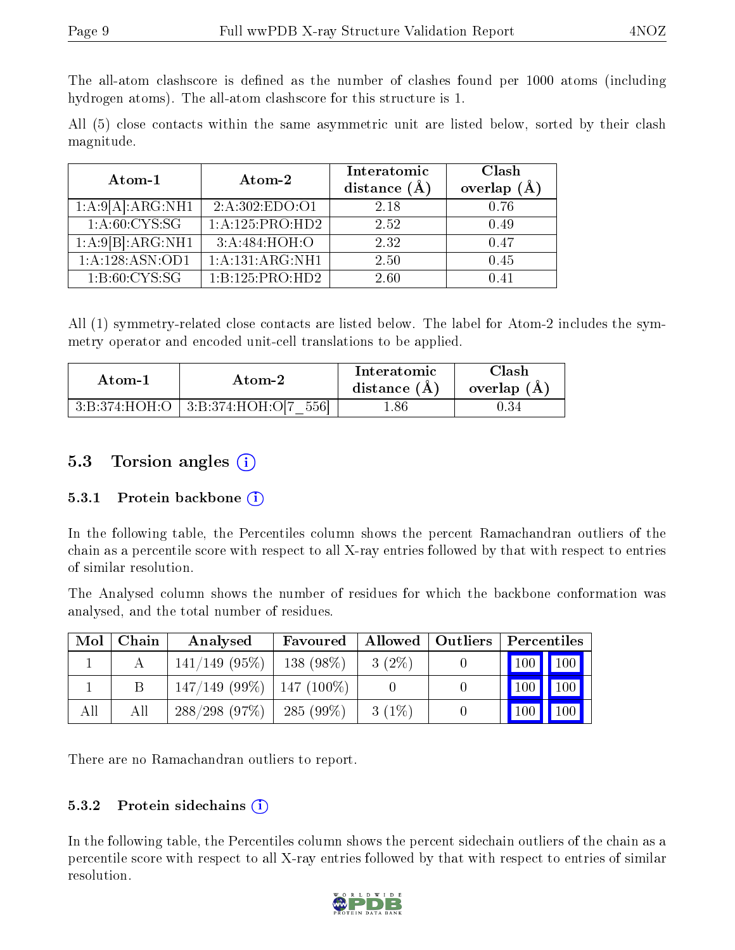The all-atom clashscore is defined as the number of clashes found per 1000 atoms (including hydrogen atoms). The all-atom clashscore for this structure is 1.

All (5) close contacts within the same asymmetric unit are listed below, sorted by their clash magnitude.

| Atom-1                               | Atom-2          | Interatomic<br>distance $(\AA)$ | Clash<br>overlap $(A)$ |
|--------------------------------------|-----------------|---------------------------------|------------------------|
| 1:A:9[A]:ARG:NH1                     | 2: A:302:EDO:O1 | 2.18                            | 0.76                   |
| 1: A:60: CYS:SG                      | 1:A:125:PRO:HD2 | 2.52                            | 0.49                   |
| $1:A:9[B]:\overline{\text{ARG:NH1}}$ | 3:A:484:HOH:O   | 2.32                            | 0.47                   |
| 1:A:128:ASN:OD1                      | 1:A:131:ARG:NH1 | 2.50                            | 0.45                   |
| 1: B:60: CYS:SG                      | 1:B:125:PRO:HD2 | 2.60                            | () 41                  |

All (1) symmetry-related close contacts are listed below. The label for Atom-2 includes the symmetry operator and encoded unit-cell translations to be applied.

| Atom-1        | Atom-2                  | Interatomic<br>distance (A) | $\operatorname{Clash}$<br>overlap (A) |
|---------------|-------------------------|-----------------------------|---------------------------------------|
| 3:B:374:HOH:O | 3:B:374:HOH:O[7]<br>556 | r.86                        | U.34                                  |

#### 5.3 Torsion angles  $(i)$

#### 5.3.1 Protein backbone (i)

In the following table, the Percentiles column shows the percent Ramachandran outliers of the chain as a percentile score with respect to all X-ray entries followed by that with respect to entries of similar resolution.

The Analysed column shows the number of residues for which the backbone conformation was analysed, and the total number of residues.

| Mol | Chain | Analysed         | Favoured     |          | Allowed   Outliers | $\mid$ Percentiles          |
|-----|-------|------------------|--------------|----------|--------------------|-----------------------------|
|     |       | $141/149$ (95%)  | $138(98\%)$  | $3(2\%)$ |                    | $\boxed{100}$ $\boxed{100}$ |
|     |       | $147/149$ (99\%) | $147(100\%)$ |          |                    | 100                         |
| All | Аll   | 288/298(97%)     | $285(99\%)$  | $3(1\%)$ |                    | 100<br><b>100</b>           |

There are no Ramachandran outliers to report.

#### 5.3.2 Protein sidechains  $(i)$

In the following table, the Percentiles column shows the percent sidechain outliers of the chain as a percentile score with respect to all X-ray entries followed by that with respect to entries of similar resolution.

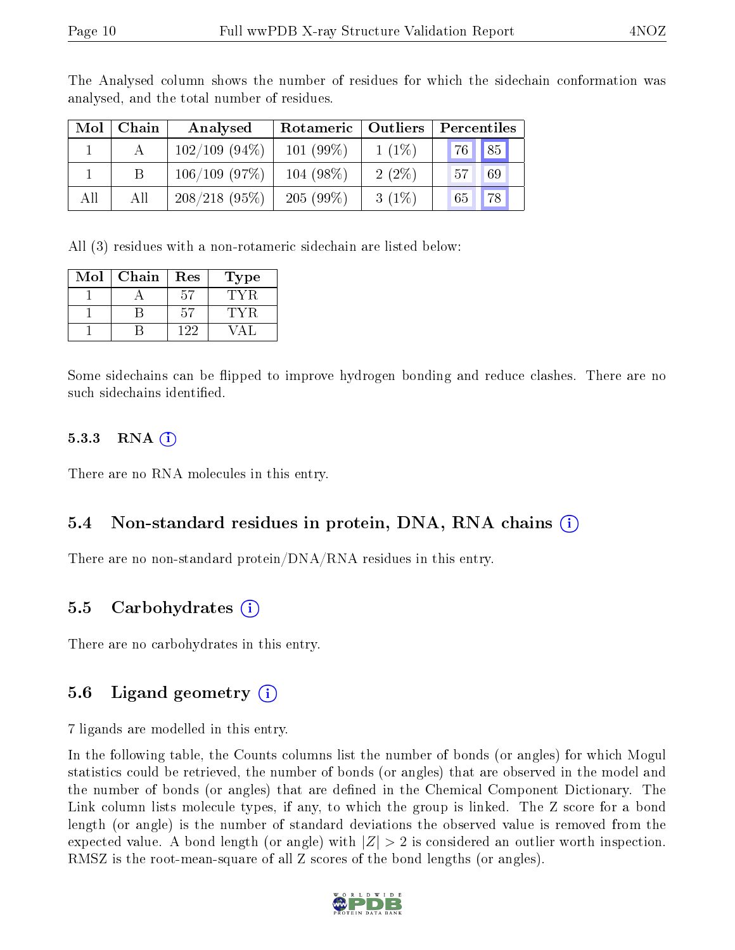| Mol | Chain           | Analysed         | Rotameric   | Outliers | Percentiles |
|-----|-----------------|------------------|-------------|----------|-------------|
|     |                 | $102/109$ (94\%) | $101(99\%)$ | $1(1\%)$ | 76 85       |
|     | $\vert B \vert$ | $106/109$ (97%)  | $104(98\%)$ | $2(2\%)$ | 57<br>69    |
| All | All             | $208/218(95\%)$  | $205(99\%)$ | $3(1\%)$ | 78<br>65    |

The Analysed column shows the number of residues for which the sidechain conformation was analysed, and the total number of residues.

All (3) residues with a non-rotameric sidechain are listed below:

| Mol | Chain | $\operatorname{Res}% \left( \mathcal{N}\right) \equiv\operatorname{Res}(\mathcal{N}_{0})\cap\mathcal{N}_{1}$ | Fype |
|-----|-------|--------------------------------------------------------------------------------------------------------------|------|
|     |       | 57                                                                                                           |      |
|     |       | h'i                                                                                                          |      |
|     |       | -99                                                                                                          |      |

Some sidechains can be flipped to improve hydrogen bonding and reduce clashes. There are no such sidechains identified.

#### $5.3.3$  RNA  $(i)$

There are no RNA molecules in this entry.

#### 5.4 Non-standard residues in protein, DNA, RNA chains (i)

There are no non-standard protein/DNA/RNA residues in this entry.

#### 5.5 Carbohydrates (i)

There are no carbohydrates in this entry.

### 5.6 Ligand geometry  $(i)$

7 ligands are modelled in this entry.

In the following table, the Counts columns list the number of bonds (or angles) for which Mogul statistics could be retrieved, the number of bonds (or angles) that are observed in the model and the number of bonds (or angles) that are defined in the Chemical Component Dictionary. The Link column lists molecule types, if any, to which the group is linked. The Z score for a bond length (or angle) is the number of standard deviations the observed value is removed from the expected value. A bond length (or angle) with  $|Z| > 2$  is considered an outlier worth inspection. RMSZ is the root-mean-square of all Z scores of the bond lengths (or angles).

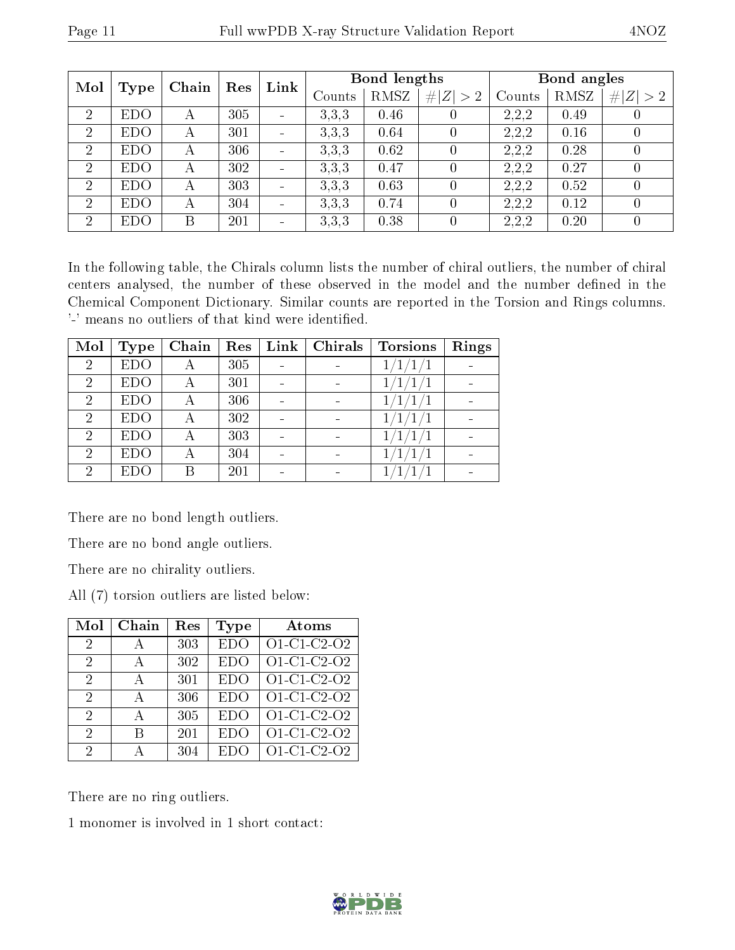| Mol            |             | Chain | Res | Link                     |        | Bond lengths |                  |        | Bond angles |             |
|----------------|-------------|-------|-----|--------------------------|--------|--------------|------------------|--------|-------------|-------------|
|                | <b>Type</b> |       |     |                          | Counts | RMSZ         | # $ Z  > 2$      | Counts | RMSZ        | # $ Z  > 2$ |
| $\overline{2}$ | <b>EDO</b>  | А     | 305 | -                        | 3,3,3  | 0.46         | 0                | 2,2,2  | 0.49        |             |
| $\overline{2}$ | <b>EDO</b>  | А     | 301 | -                        | 3.3.3  | 0.64         | 0                | 2,2,2  | 0.16        |             |
| $\overline{2}$ | <b>EDO</b>  | А     | 306 | ۰                        | 3.3.3  | 0.62         |                  | 2,2,2  | 0.28        |             |
| $\overline{2}$ | <b>EDO</b>  | А     | 302 |                          | 3.3.3  | 0.47         | $\left( \right)$ | 2,2,2  | 0.27        | 0           |
| $\overline{2}$ | <b>EDO</b>  | А     | 303 |                          | 3,3,3  | 0.63         |                  | 2,2,2  | 0.52        | 0           |
| 2              | <b>EDO</b>  | А     | 304 | $\blacksquare$           | 3.3.3  | 0.74         |                  | 2,2,2  | 0.12        | 0           |
| $\overline{2}$ | <b>EDO</b>  | В     | 201 | $\overline{\phantom{0}}$ | 3,3,3  | 0.38         |                  | 2,2,2  | 0.20        |             |

In the following table, the Chirals column lists the number of chiral outliers, the number of chiral centers analysed, the number of these observed in the model and the number defined in the Chemical Component Dictionary. Similar counts are reported in the Torsion and Rings columns. '-' means no outliers of that kind were identified.

| Mol            | Type       | Chain | Res | Link | Chirals | <b>Torsions</b>  | Rings |
|----------------|------------|-------|-----|------|---------|------------------|-------|
| $\overline{2}$ | <b>EDO</b> |       | 305 |      |         | $^{\prime}1/1/1$ |       |
| $\overline{2}$ | <b>EDO</b> |       | 301 |      |         |                  |       |
| $\overline{2}$ | <b>EDO</b> |       | 306 |      |         | 1/1              |       |
| $\overline{2}$ | <b>EDO</b> | А     | 302 |      |         |                  |       |
| $\overline{2}$ | <b>EDO</b> |       | 303 |      |         |                  |       |
| $\overline{2}$ | <b>EDO</b> |       | 304 |      |         |                  |       |
| 2              | EDO        |       | 201 |      |         |                  |       |

There are no bond length outliers.

There are no bond angle outliers.

There are no chirality outliers.

All (7) torsion outliers are listed below:

| Mol            | Chain | Res | Type       | Atoms                     |
|----------------|-------|-----|------------|---------------------------|
| $\overline{2}$ | А     | 303 | <b>EDO</b> | O1-C1-C2-O2               |
| 2              |       | 302 | EDO        | $\overline{O1}$ -C1-C2-O2 |
| 2              | А     | 301 | <b>EDO</b> | O1-C1-C2-O2               |
| $\overline{2}$ | А     | 306 | <b>EDO</b> | O1-C1-C2-O2               |
| 2              | А     | 305 | EDO        | O1-C1-C2-O2               |
| 2              | R     | 201 | <b>EDO</b> | O1-C1-C2-O2               |
| 2              |       | 304 | EDC        | $\overline{O}1$ -C1-C2-O2 |

There are no ring outliers.

1 monomer is involved in 1 short contact:

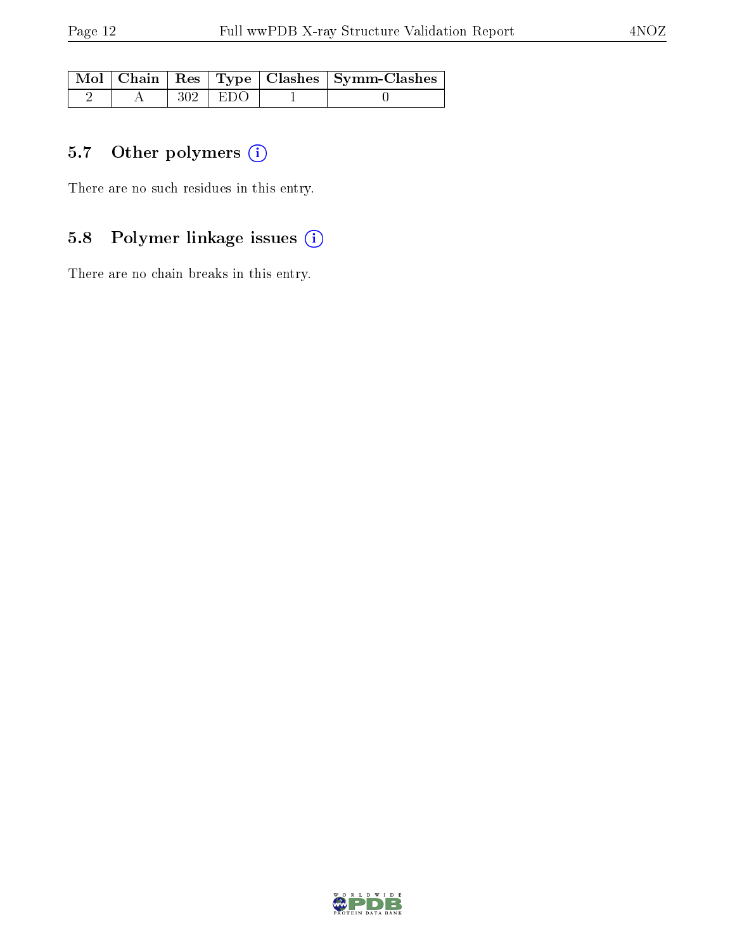|  |             | Mol   Chain   Res   Type   Clashes   Symm-Clashes |
|--|-------------|---------------------------------------------------|
|  | $302$   EDO |                                                   |

## 5.7 [O](https://www.wwpdb.org/validation/2017/XrayValidationReportHelp#nonstandard_residues_and_ligands)ther polymers (i)

There are no such residues in this entry.

## 5.8 Polymer linkage issues (i)

There are no chain breaks in this entry.

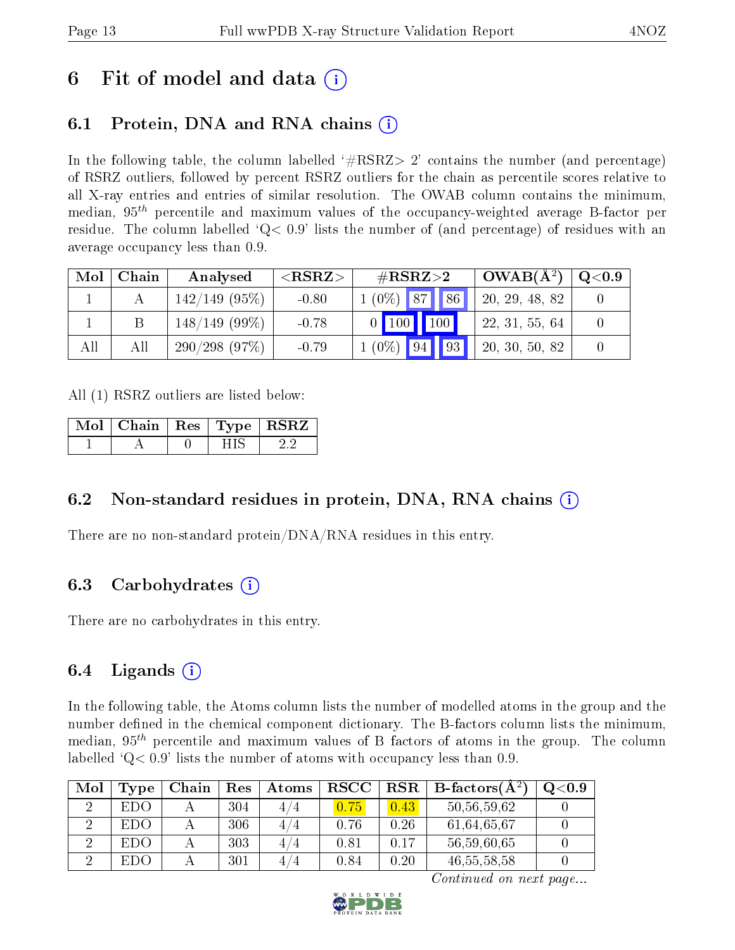## 6 Fit of model and data  $\left( \cdot \right)$

## 6.1 Protein, DNA and RNA chains (i)

In the following table, the column labelled  $#RSRZ>2'$  contains the number (and percentage) of RSRZ outliers, followed by percent RSRZ outliers for the chain as percentile scores relative to all X-ray entries and entries of similar resolution. The OWAB column contains the minimum, median,  $95<sup>th</sup>$  percentile and maximum values of the occupancy-weighted average B-factor per residue. The column labelled  $Q < 0.9$  lists the number of (and percentage) of residues with an average occupancy less than 0.9.

| Mol | Chain | Analysed        | ${ <\hspace{-1.5pt}{\mathrm{RSRZ}} \hspace{-1.5pt}>}$ | $\#\text{RSRZ}\text{>2}$ | $OWAB(A^2)$         | $\rm Q\textcolor{black}{<}0.9$ |
|-----|-------|-----------------|-------------------------------------------------------|--------------------------|---------------------|--------------------------------|
|     |       | $142/149$ (95%) | $-0.80$                                               | $1(0\%)$ 87<br>86        | 20,<br>, 29, 48, 82 |                                |
|     |       | $148/149(99\%)$ | $-0.78$                                               | $0$ 100 100              | 22, 31, 55, 64      |                                |
| All | All   | 290/298(97%)    | $-0.79$                                               | $1(0\%)$ 94 93           | 20, 30, 50, 82      |                                |

All (1) RSRZ outliers are listed below:

| Mol   Chain   Res   Type   RSRZ |  |  |
|---------------------------------|--|--|
|                                 |  |  |

### 6.2 Non-standard residues in protein, DNA, RNA chains (i)

There are no non-standard protein/DNA/RNA residues in this entry.

### 6.3 Carbohydrates (i)

There are no carbohydrates in this entry.

### 6.4 Ligands  $(i)$

In the following table, the Atoms column lists the number of modelled atoms in the group and the number defined in the chemical component dictionary. The B-factors column lists the minimum, median,  $95<sup>th</sup>$  percentile and maximum values of B factors of atoms in the group. The column labelled  $Q< 0.9$ ' lists the number of atoms with occupancy less than 0.9.

| Mol | $\Gamma$ ype | Chain | Res | Atoms    | <b>RSCC</b> | $_{\rm RSR}$ | <b>B</b> -factors( $A^2$ ) | $_{\mathrm{Q}< 0.9}$ |
|-----|--------------|-------|-----|----------|-------------|--------------|----------------------------|----------------------|
|     | EDO.         |       | 304 | 4 / 4    |             | 0.43         | 50,56,59,62                |                      |
|     | -EDO -       |       | 306 | 4,<br>4  | 0.76        | 0.26         | 61,64,65,67                |                      |
|     | -EDO-        |       | 303 | 4.<br>′4 | 0.81        | በ 17         | 56,59,60,65                |                      |
|     | EDC          |       | 301 | 4.<br>΄4 | 0.84        | 0.20         | 46, 55, 58, 58             |                      |

Continued on next page...